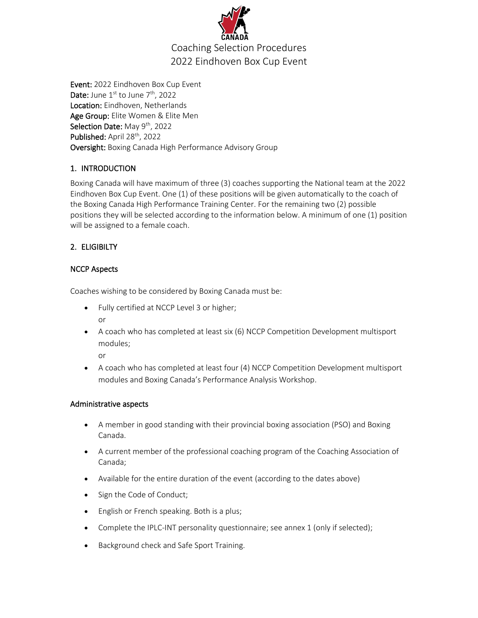

Event: 2022 Eindhoven Box Cup Event **Date:** June  $1^{st}$  to June  $7^{th}$ , 2022 Location: Eindhoven, Netherlands Age Group: Elite Women & Elite Men Selection Date: May 9<sup>th</sup>, 2022 Published: April 28<sup>th</sup>, 2022 Oversight: Boxing Canada High Performance Advisory Group

# 1. INTRODUCTION

Boxing Canada will have maximum of three (3) coaches supporting the National team at the 2022 Eindhoven Box Cup Event. One (1) of these positions will be given automatically to the coach of the Boxing Canada High Performance Training Center. For the remaining two (2) possible positions they will be selected according to the information below. A minimum of one (1) position will be assigned to a female coach.

# 2. ELIGIBILTY

# NCCP Aspects

Coaches wishing to be considered by Boxing Canada must be:

• Fully certified at NCCP Level 3 or higher;

or

• A coach who has completed at least six (6) NCCP Competition Development multisport modules;

or

• A coach who has completed at least four (4) NCCP Competition Development multisport modules and Boxing Canada's Performance Analysis Workshop.

# Administrative aspects

- A member in good standing with their provincial boxing association (PSO) and Boxing Canada.
- A current member of the professional coaching program of the Coaching Association of Canada;
- Available for the entire duration of the event (according to the dates above)
- Sign the Code of Conduct;
- English or French speaking. Both is a plus;
- Complete the IPLC-INT personality questionnaire; see annex 1 (only if selected);
- Background check and Safe Sport Training.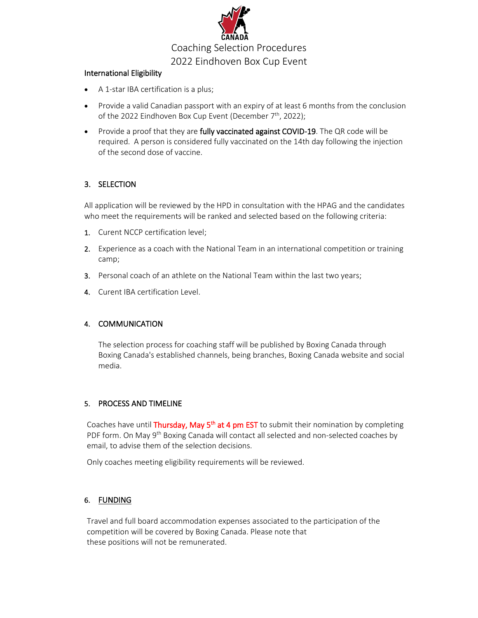

#### International Eligibility

- A 1-star IBA certification is a plus;
- Provide a valid Canadian passport with an expiry of at least 6 months from the conclusion of the 2022 Eindhoven Box Cup Event (December 7<sup>th</sup>, 2022);
- Provide a proof that they are fully vaccinated against COVID-19. The QR code will be required. A person is considered fully vaccinated on the 14th day following the injection of the second dose of vaccine.

# 3. SELECTION

All application will be reviewed by the HPD in consultation with the HPAG and the candidates who meet the requirements will be ranked and selected based on the following criteria:

- 1. Curent NCCP certification level;
- 2. Experience as a coach with the National Team in an international competition or training camp;
- 3. Personal coach of an athlete on the National Team within the last two years;
- 4. Curent IBA certification Level.

#### 4. COMMUNICATION

The selection process for coaching staff will be published by Boxing Canada through Boxing Canada's established channels, being branches, Boxing Canada website and social media.

#### 5. PROCESS AND TIMELINE

Coaches have until Thursday, May 5<sup>th</sup> at 4 pm EST to submit their nomination by completing PDF form. On May 9<sup>th</sup> Boxing Canada will contact all selected and non-selected coaches by email, to advise them of the selection decisions.

Only coaches meeting eligibility requirements will be reviewed.

# 6. FUNDING

Travel and full board accommodation expenses associated to the participation of the competition will be covered by Boxing Canada. Please note that these positions will not be remunerated.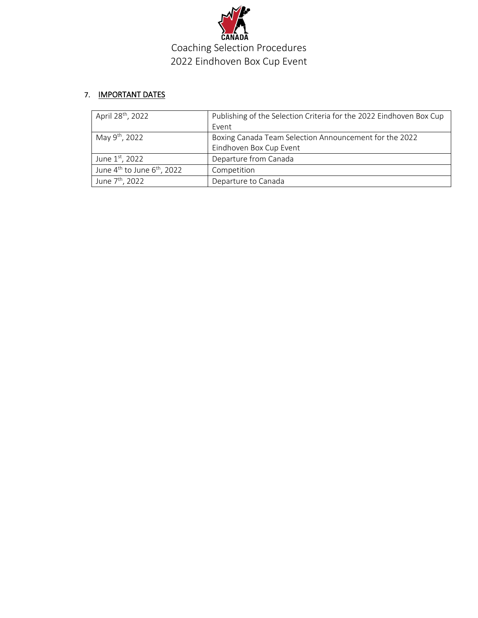

# 7. IMPORTANT DATES

| April 28 <sup>th</sup> , 2022                       | Publishing of the Selection Criteria for the 2022 Eindhoven Box Cup |
|-----------------------------------------------------|---------------------------------------------------------------------|
|                                                     | Event                                                               |
| May 9 <sup>th</sup> , 2022                          | Boxing Canada Team Selection Announcement for the 2022              |
|                                                     | Eindhoven Box Cup Event                                             |
| June 1st, 2022                                      | Departure from Canada                                               |
| June $4^{\text{th}}$ to June $6^{\text{th}}$ , 2022 | Competition                                                         |
| June 7 <sup>th</sup> , 2022                         | Departure to Canada                                                 |